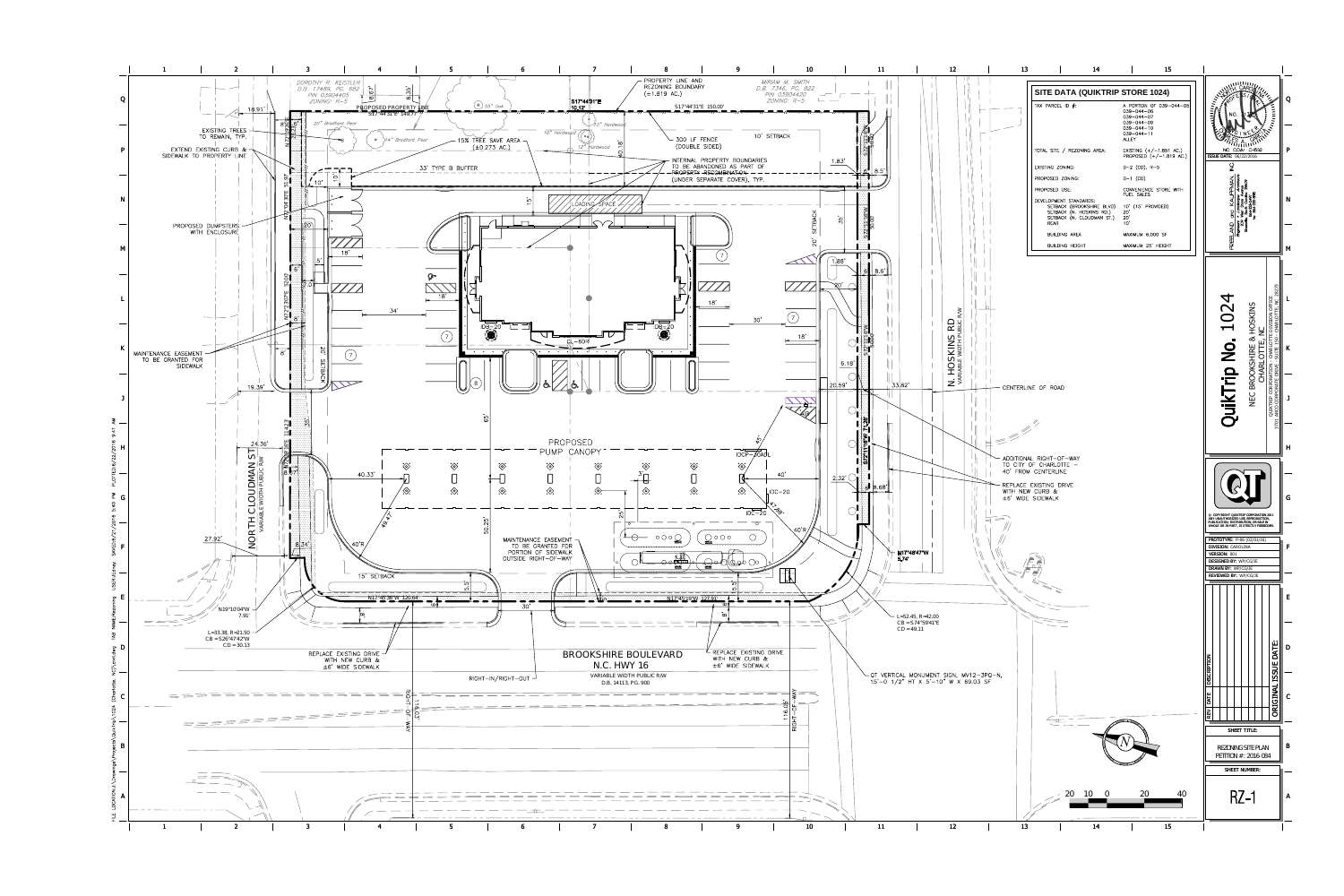